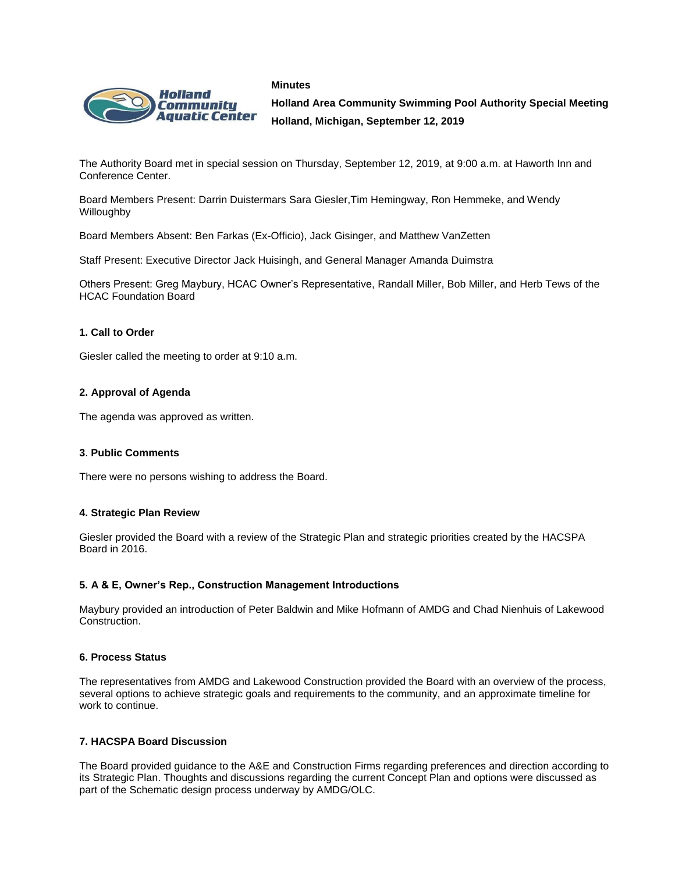



**Holland Area Community Swimming Pool Authority Special Meeting Holland, Michigan, September 12, 2019**

The Authority Board met in special session on Thursday, September 12, 2019, at 9:00 a.m. at Haworth Inn and Conference Center.

Board Members Present: Darrin Duistermars Sara Giesler,Tim Hemingway, Ron Hemmeke, and Wendy Willoughby

Board Members Absent: Ben Farkas (Ex-Officio), Jack Gisinger, and Matthew VanZetten

Staff Present: Executive Director Jack Huisingh, and General Manager Amanda Duimstra

Others Present: Greg Maybury, HCAC Owner's Representative, Randall Miller, Bob Miller, and Herb Tews of the HCAC Foundation Board

## **1. Call to Order**

Giesler called the meeting to order at 9:10 a.m.

## **2. Approval of Agenda**

The agenda was approved as written.

#### **3**. **Public Comments**

There were no persons wishing to address the Board.

#### **4. Strategic Plan Review**

Giesler provided the Board with a review of the Strategic Plan and strategic priorities created by the HACSPA Board in 2016.

#### **5. A & E, Owner's Rep., Construction Management Introductions**

Maybury provided an introduction of Peter Baldwin and Mike Hofmann of AMDG and Chad Nienhuis of Lakewood Construction.

#### **6. Process Status**

The representatives from AMDG and Lakewood Construction provided the Board with an overview of the process, several options to achieve strategic goals and requirements to the community, and an approximate timeline for work to continue.

#### **7. HACSPA Board Discussion**

The Board provided guidance to the A&E and Construction Firms regarding preferences and direction according to its Strategic Plan. Thoughts and discussions regarding the current Concept Plan and options were discussed as part of the Schematic design process underway by AMDG/OLC.